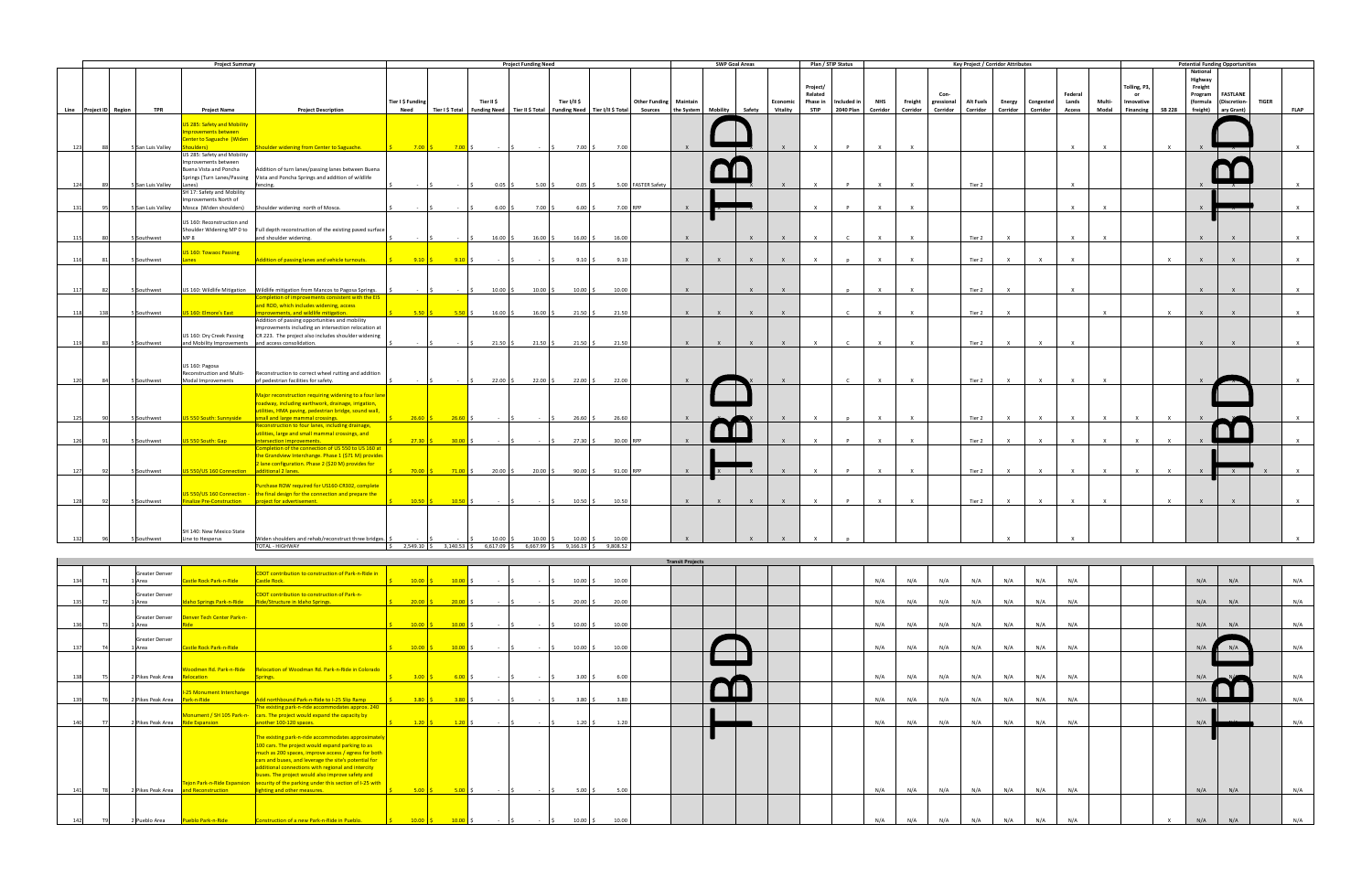|     |                  |                        |                                        | <b>Project Summary</b>                                                                               |                                                                                                                                                                                                                                                                                                                                                                                                                                                          |                                                                                                                         |                             | <b>Project Funding Need</b>                                                           |                        |           |                               |                         | <b>SWP Goal Areas</b>              |              |                             | Plan / STIP Status              |                               |                          |                              |                        | Key Project / Corridor Attributes |                   |                  |                                   |                 |                                                      |               |                                       | <b>Potential Funding Opportunities</b>                           |                              |
|-----|------------------|------------------------|----------------------------------------|------------------------------------------------------------------------------------------------------|----------------------------------------------------------------------------------------------------------------------------------------------------------------------------------------------------------------------------------------------------------------------------------------------------------------------------------------------------------------------------------------------------------------------------------------------------------|-------------------------------------------------------------------------------------------------------------------------|-----------------------------|---------------------------------------------------------------------------------------|------------------------|-----------|-------------------------------|-------------------------|------------------------------------|--------------|-----------------------------|---------------------------------|-------------------------------|--------------------------|------------------------------|------------------------|-----------------------------------|-------------------|------------------|-----------------------------------|-----------------|------------------------------------------------------|---------------|---------------------------------------|------------------------------------------------------------------|------------------------------|
|     |                  | Line Project ID Region | <b>TPR</b>                             | <b>Project Name</b><br>S 285: Safety and Mobility<br>nprovements between<br>enter to Saguache (Widen | <b>Project Description</b>                                                                                                                                                                                                                                                                                                                                                                                                                               | Tier I \$ Funding<br><b>Need</b>                                                                                        | Tier II \$                  | Tier I \$ Total   Funding Need   Tier II \$ Total   Funding Need   Tier I/II \$ Total | Tier I/II \$           |           | <b>Other Funding Maintain</b> |                         | Sources the System Mobility Safety |              | Economic<br><b>Vitality</b> | Project/<br>Related<br>Phase in | Included in<br>STIP 2040 Plan | <b>NHS</b><br>Corridor   | Freight<br>Corridor          | gressional<br>Corridor | <b>Alt Fuels</b><br>Corridor      | Corridor Corridor | Energy Congested | Federal<br>Lands<br><b>Access</b> | Multi-<br>Modal | Tolling, P3,<br>or<br>Innovative<br><b>Financing</b> | <b>SB 228</b> | <b>National</b><br>Highway<br>Freight | Program FASTLANE<br>(formula (Discretion-<br>freight) ary Grant) | <b>TIGER</b><br><b>FLAP</b>  |
|     | 123<br>124       |                        | 5 San Luis Valley<br>5 San Luis Valley | US 285: Safety and Mobility<br>Improvements between<br>Buena Vista and Poncha<br>Lanes)              | houlder widening from Center to Saguache.<br>Addition of turn lanes/passing lanes between Buena<br>Springs (Turn Lanes/Passing Vista and Poncha Springs and addition of wildlife<br>fencing.                                                                                                                                                                                                                                                             | $7.00$ \$<br>$7.00$ \$<br>$\sim$ $\sim$ $\sim$                                                                          | $0.05$ \$                   | $5.00\%$                                                                              | $7.00$ \$<br>$0.05$ \$ | 7.00      | 5.00 FASTER Safety            |                         |                                    |              | $\mathsf{x}$                | $\times$<br>$\mathsf{x}$        | $\mathsf{P}$<br>$\mathsf{P}$  | $\mathsf{X}$<br>$\times$ | $\mathsf{X}$<br>$\mathsf{X}$ |                        | Tier 2                            |                   |                  | $\times$<br>$\mathsf{X}$          | $\mathsf{x}$    |                                                      | x             |                                       |                                                                  | $\mathsf{X}$<br>$\mathsf{X}$ |
| 131 |                  |                        |                                        | SH 17: Safety and Mobility<br>mprovements North of<br>5 San Luis Valley Mosca (Widen shoulders)      | Shoulder widening north of Mosca.                                                                                                                                                                                                                                                                                                                                                                                                                        |                                                                                                                         | $6.00\frac{5}{5}$           | $7.00$ \$                                                                             | $6.00\%$               |           | 7.00 RPP                      | $\mathsf{X}$            |                                    |              |                             |                                 |                               |                          | $\mathsf{x}$                 |                        |                                   |                   |                  | $\mathbf{x}$                      |                 |                                                      |               |                                       |                                                                  | $\times$                     |
|     | 115              |                        | 5 Southwest                            | US 160: Reconstruction and<br>MP <sub>8</sub>                                                        | Shoulder Widening MP 0 to Full depth reconstruction of the existing paved surface<br>and shoulder widening.                                                                                                                                                                                                                                                                                                                                              |                                                                                                                         | $16.00$ \$                  | $16.00$ \$                                                                            | $16.00$ \$             | 16.00     |                               | $\mathsf{X}$            |                                    | $\mathsf{x}$ |                             | $\times$                        |                               |                          | $\mathsf{X}$                 |                        | Tier 2                            | $\mathsf{X}$      |                  | $\mathsf{x}$                      |                 |                                                      |               | $\mathsf{x}$                          |                                                                  | $\times$                     |
|     | 116              |                        | 5 Southwest                            | US 160: Towaoc Passing<br>Lanes                                                                      | Addition of passing lanes and vehicle turnouts. $\frac{1}{5}$ 9.10 $\frac{1}{5}$ 9.10 $\frac{1}{5}$                                                                                                                                                                                                                                                                                                                                                      |                                                                                                                         |                             |                                                                                       | $9.10$ \$              | 9.10      |                               | $\mathsf{X}$            | $\mathbf{x}$                       | $\mathbf{x}$ |                             | $\mathbf{x}$                    |                               | $\mathbf{x}$             | $\times$                     |                        | Tier 2                            | $\mathsf{x}$      | $\mathsf{X}$     | $\times$                          |                 |                                                      | $\times$      | $\mathbf{x}$                          | $\mathbf{x}$                                                     | $\mathbf{x}$                 |
|     | 117<br>- 82      |                        | 5 Southwest                            |                                                                                                      | US 160: Wildlife Mitigation   Wildlife mitigation from Mancos to Pagosa Springs.                                                                                                                                                                                                                                                                                                                                                                         |                                                                                                                         | $10.00$ \$                  | $10.00$ \$                                                                            | $10.00$ \$             | 10.00     |                               | $\mathsf{x}$            |                                    |              |                             |                                 |                               |                          | $\mathbf{x}$                 |                        | Tier 2                            | $\mathbf{x}$      |                  | $\mathbf{x}$                      |                 |                                                      |               | $\mathsf{x}$                          |                                                                  |                              |
|     | 118<br>138       |                        | 5 Southwest                            | US 160: Elmore's East                                                                                | Completion of improvements consistent with the EIS<br>and ROD, which includes widening, access<br>improvements, and wildlife mitigation.                                                                                                                                                                                                                                                                                                                 |                                                                                                                         |                             | $16.00\frac{1}{5}$                                                                    | $21.50$ \$             | 21.50     |                               | $\mathsf{X}$            | $\mathbf{x}$                       | $\mathsf{X}$ | $\mathsf{x}$                |                                 | $\mathsf{C}$                  | $\mathsf{X}$             | $\mathsf{X}$                 |                        | Tier 2                            | $\mathsf{x}$      |                  |                                   | $\mathsf{x}$    |                                                      | $\mathsf{X}$  | $\mathbf{x}$                          | $\mathsf{X}$                                                     | $\mathsf{X}$                 |
|     | 119              |                        | 5 Southwest                            | US 160: Dry Creek Passing<br>and Mobility Improvements and access consolidation.                     | Addition of passing opportunities and mobility<br>improvements including an intersection relocation at<br>CR 223. The project also includes shoulder widening                                                                                                                                                                                                                                                                                            | $\sim$ $\sim$ $\sim$                                                                                                    | $21.50\%$<br>IS.            | $21.50$ \$                                                                            | $21.50\%$              | 21.50     |                               | $\mathbf{x}$            |                                    |              |                             |                                 |                               |                          | $\mathbf{x}$                 |                        | Tier 2                            |                   |                  | $\mathsf{x}$                      |                 |                                                      |               | $\mathsf{x}$                          |                                                                  |                              |
|     | 120<br>84        |                        | 5 Southwest                            | US 160: Pagosa<br>Reconstruction and Multi-<br>Modal Improvements                                    | Reconstruction to correct wheel rutting and addition<br>of pedestrian facilities for safety.                                                                                                                                                                                                                                                                                                                                                             |                                                                                                                         | $22.00$ \$                  | $22.00$ \$                                                                            | $22.00$ \$             | 22.00     |                               | $\mathbf{x}$            |                                    |              |                             |                                 | $\mathsf{C}$                  | $\mathbf{x}$             | $\mathsf{x}$                 |                        | Tier 2                            | $\mathsf{X}$      | $\mathsf{X}$     | $\mathsf{X}$                      |                 |                                                      |               |                                       |                                                                  |                              |
|     | 125              |                        | 5 Southwest                            | US 550 South: Sunnyside                                                                              | Major reconstruction requiring widening to a four lane<br>roadway, including earthwork, drainage, irrigation,<br>utilities, HMA paving, pedestrian bridge, sound wall,<br>small and large mammal crossings.                                                                                                                                                                                                                                              | $26.60$ \$<br>$26.60$ \$                                                                                                | $\sim$ $\sim$ $\sim$        | <b>Contract</b>                                                                       | $26.60$ \$             | 26.60     |                               | $\mathsf{X}$            |                                    |              |                             | $\mathbf{x}$                    |                               | $\mathsf{X}$             | $\mathsf{x}$                 |                        | Tier 2                            | $\mathsf{X}$      | $\mathsf{X}$     | $\mathsf{X}$                      | $\mathsf{X}$    | $\mathbf{x}$                                         | $\mathsf{X}$  |                                       |                                                                  |                              |
|     | 126              |                        | 5 Southwest                            | US 550 South: Gap                                                                                    | Reconstruction to four lanes, including drainage,<br>utilities, large and small mammal crossings, and<br>intersection improvements.                                                                                                                                                                                                                                                                                                                      | $27.30$ \$<br>$30.00$ \$                                                                                                | $ \sqrt{5}$                 |                                                                                       | $27.30$ \$             | 30.00 RPP |                               |                         |                                    |              |                             | $\times$                        | $\mathsf{P}$                  | $\times$                 | $\mathsf{X}$                 |                        | Tier 2                            | $\mathsf{X}$      | $\mathsf{x}$     | $\mathsf{X}$                      | $\mathsf{x}$    | $\times$                                             | $\mathsf{X}$  |                                       |                                                                  |                              |
|     | 127              |                        | 5 Southwest                            | US 550/US 160 Connection additional 2 lanes.                                                         | Completion of the connection of US 550 to US 160 at<br>the Grandview Interchange. Phase 1 (\$71 M) provides<br>2 lane configuration. Phase 2 (\$20 M) provides for                                                                                                                                                                                                                                                                                       |                                                                                                                         |                             | $20.00$ \$                                                                            | $90.00$ \$             | 91.00 RPP |                               | $\mathsf{X}$            |                                    |              |                             | $\times$                        | $\mathsf{P}$                  | $\times$                 | $\mathsf{X}$                 |                        | Tier 2                            | $\mathsf{X}$      | $\mathsf{X}$     | $\mathsf{X}$                      | $\mathsf{x}$    | $\times$                                             | $\mathsf{X}$  |                                       |                                                                  |                              |
|     | 128              |                        | 5 Southwest                            |                                                                                                      | Purchase ROW required for US160-CR302, complete<br>JS 550/US 160 Connection - the final design for the connection and prepare the<br><b>Finalize Pre-Construction Project for advertisement.</b>                                                                                                                                                                                                                                                         | 5 10.50 S 10.50 S 5                                                                                                     |                             | $-15$                                                                                 | $10.50\%$              | 10.50     |                               | $\mathsf{X}$            | $\mathbf{x}$                       | $\mathsf{X}$ | $\mathbf{x}$                | $\mathsf{x}$                    | $\mathsf{P}$                  | $\mathsf{X}$             | $\mathsf{X}$                 |                        | Tier 2                            | $\mathsf{X}$      | $\mathsf{X}$     | $\mathbf{x}$                      | $\mathsf{X}$    |                                                      | $\times$      | $\mathsf{x}$                          | $\mathsf{x}$                                                     | $\mathsf{x}$                 |
|     |                  |                        | 5 Southwest                            | SH 140: New Mexico State<br>Line to Hesperus                                                         | Widen shoulders and rehab/reconstruct three bridges.<br>TOTAL - HIGHWAY                                                                                                                                                                                                                                                                                                                                                                                  | $\begin{vmatrix} 5 & 2.549.10 & 5 & 3.140.53 & 5 & 6.617.09 & 5 & 6.667.99 & 5 & 9.166.19 & 5 & 9.808.52 \end{vmatrix}$ | $10.00$ \$                  | $10.00$ \$                                                                            | $10.00$ \$             | 10.00     |                               |                         |                                    |              |                             |                                 |                               |                          |                              |                        |                                   |                   |                  |                                   |                 |                                                      |               |                                       |                                                                  |                              |
|     |                  |                        |                                        |                                                                                                      |                                                                                                                                                                                                                                                                                                                                                                                                                                                          |                                                                                                                         |                             |                                                                                       |                        |           |                               | <b>Transit Projects</b> |                                    |              |                             |                                 |                               |                          |                              |                        |                                   |                   |                  |                                   |                 |                                                      |               |                                       |                                                                  |                              |
|     | 134<br>T1        |                        | Greater Denver<br>1 Area               | Castle Rock Park-n-Ride                                                                              | CDOT contribution to construction of Park-n-Ride in<br>Castle Rock.                                                                                                                                                                                                                                                                                                                                                                                      | $10.00 \tbinom{1}{5}$ $10.00 \tbinom{5}{7}$                                                                             | $ \sqrt{5}$                 | $-5$                                                                                  | $10.00\frac{1}{5}$     | 10.00     |                               |                         |                                    |              |                             |                                 |                               | N/A                      | N/A                          | N/A                    | N/A                               | N/A               | N/A              | N/A                               |                 |                                                      |               | N/A                                   | N/A                                                              | N/A                          |
| 135 |                  |                        | Greater Denver<br>1 Area               | Denver Tech Center Park-n-                                                                           | CDOT contribution to construction of Park-n-<br>daho Springs Park-n-Ride Ride/Structure in Idaho Springs.                                                                                                                                                                                                                                                                                                                                                | $20.00 \t\t \t\t\sqrt{20.00} \t\t\t\t\t\sqrt{20.00}$                                                                    | $\sim$ $\sim$ $\sim$ $\sim$ | $\sim$ $\sim$ $\sim$ $\sim$                                                           | $20.00$ \$             | 20.00     |                               |                         |                                    |              |                             |                                 |                               | N/A                      | N/A                          | N/A                    | N/A                               | N/A               | N/A              | N/A                               |                 |                                                      |               | N/A                                   | N/A                                                              | N/A                          |
|     | 136<br>T3        |                        | Greater Denver<br>1 Area               |                                                                                                      |                                                                                                                                                                                                                                                                                                                                                                                                                                                          |                                                                                                                         | $ \sqrt{5}$                 | $\sim 100$<br>$\vert$ \$                                                              | $10.00$ \$             | 10.00     |                               |                         |                                    |              |                             |                                 |                               | N/A                      | N/A                          | N/A                    | N/A                               | N/A               | N/A              | N/A                               |                 |                                                      |               | N/A                                   | N/A                                                              | N/A                          |
| 137 |                  | T <sub>4</sub>         | Greater Denver<br>1 Area               | Castle Rock Park-n-Ride                                                                              |                                                                                                                                                                                                                                                                                                                                                                                                                                                          | $10.00 \tbinom{1}{5}$ $10.00 \tbinom{5}{1}$                                                                             | $\sim$ $\sim$ $\sim$        |                                                                                       | $10.00$ \$             | 10.00     |                               |                         |                                    |              |                             |                                 |                               | N/A                      | N/A                          | N/A                    | N/A                               | N/A               | N/A              | N/A                               |                 |                                                      |               | N/A                                   |                                                                  | N/A                          |
|     | 138              |                        | 2 Pikes Peak Area Relocation           | Voodmen Rd. Park-n-Ride                                                                              | Relocation of Woodman Rd. Park-n-Ride in Colorado                                                                                                                                                                                                                                                                                                                                                                                                        | $3.00$ $\vert \xi \vert$<br>$6.00$ \$                                                                                   |                             |                                                                                       | $3.00\%$               | 6.00      |                               |                         |                                    |              |                             |                                 |                               | N/A                      | N/A                          | N/A                    | N/A                               | N/A               | N/A              | N/A                               |                 |                                                      |               | N/A                                   |                                                                  | N/A                          |
| 139 |                  |                        | 2 Pikes Peak Area Park-n-Ride          | 25 Monument Interchange                                                                              | Add northbound Park-n-Ride to I-25 Slip Ramp<br>The existing park-n-ride accommodates approx. 240                                                                                                                                                                                                                                                                                                                                                        | $3.80$ $\sqrt{5}$<br>$3.80$ S                                                                                           | $-5$                        |                                                                                       | $3.80$ \$              | 3.80      |                               |                         |                                    |              |                             |                                 |                               | N/A                      | N/A                          | N/A                    | N/A                               | N/A               | N/A              | N/A                               |                 |                                                      |               | N/A                                   |                                                                  | N/A                          |
|     | 140<br><b>T7</b> |                        |                                        | 2 Pikes Peak Area Ride Expansion                                                                     | onument / SH 105 Park-n- cars. The project would expand the capacity by<br>another 100-120 spaces.                                                                                                                                                                                                                                                                                                                                                       | $1.20 \begin{array}{ c c c c c } \hline \text{S} & \text{I.20} \end{array}$ \$   \$                                     |                             | $\sim$ $\sim$ $\sim$ $\sim$                                                           | $1.20 \pm 5$           | 1.20      |                               |                         |                                    |              |                             |                                 |                               | N/A                      | N/A                          | N/A                    | N/A                               | N/A               | N/A              | N/A                               |                 |                                                      |               | N/A                                   |                                                                  | N/A                          |
| 141 | T <sub>8</sub>   |                        |                                        | 2 Pikes Peak Area and Reconstruction                                                                 | The existing park-n-ride accommodates approximately<br>100 cars. The project would expand parking to as<br>much as 200 spaces, improve access / egress for both<br>cars and buses, and leverage the site's potential for<br>additional connections with regional and intercity<br>buses. The project would also improve safety and<br>ejon Park-n-Ride Expansion security of the parking under this section of I-25 with<br>lighting and other measures. | $5.00 \begin{array}{ccc} \zeta & 5.00 \end{array}$ \$ = $\zeta$                                                         |                             | $ \sim$ $\sim$ $\sim$                                                                 | $5.00\frac{1}{5}$      | 5.00      |                               |                         |                                    |              |                             |                                 |                               | N/A                      | N/A                          | N/A                    | N/A                               | N/A               | N/A              | N/A                               |                 |                                                      |               | N/A                                   | N/A                                                              | N/A                          |
|     | 142              |                        | 2 Pueblo Area                          | <b>Pueblo Park-n-Ride</b>                                                                            | <b>Construction of a new Park-n-Ride in Pueblo.</b> $\frac{1}{5}$ 10.00 $\frac{2}{5}$ 10.00 $\frac{1}{5}$                                                                                                                                                                                                                                                                                                                                                |                                                                                                                         | $-5$                        |                                                                                       | $10.00$ \$             | 10.00     |                               |                         |                                    |              |                             |                                 |                               | N/A                      | N/A                          | N/A                    | N/A                               | N/A               | N/A              | N/A                               |                 |                                                      | $\mathsf{x}$  | N/A                                   | N/A                                                              | N/A                          |

|     | <b>Greater Denver</b> |                                   | <b>CDOT</b> contribution to construction of Park-n-Ride in                                        |                   |            |                 |              |            |            |            |       |  |  |  |     |     |     |     |  |
|-----|-----------------------|-----------------------------------|---------------------------------------------------------------------------------------------------|-------------------|------------|-----------------|--------------|------------|------------|------------|-------|--|--|--|-----|-----|-----|-----|--|
| 134 | 1 Area                | Castle Rock Park-n-Ride           | Castle Rock.                                                                                      | $10.00$ $\mid$ \$ | $10.00$ \$ | <b>Contract</b> | l \$         | $\sim$     | IS.        | $10.00$ \$ | 10.00 |  |  |  | N/A | N/A | N/A | N/A |  |
|     | <b>Greater Denver</b> |                                   | CDOT contribution to construction of Park-n-                                                      |                   |            |                 |              |            |            |            |       |  |  |  |     |     |     |     |  |
| 135 | 1 Area                | <b>Idaho Springs Park-n-Ride</b>  | Ride/Structure in Idaho Springs.                                                                  | $20.00$ $\mid$ \$ | $20.00$ \$ | <b>Service</b>  | <sub>S</sub> | $\sim$     |            | $20.00$ \$ | 20.00 |  |  |  | N/A | N/A | N/A | N/A |  |
|     |                       |                                   |                                                                                                   |                   |            |                 |              |            |            |            |       |  |  |  |     |     |     |     |  |
|     | Greater Denver        | <b>Jenver Tech Center Park-n-</b> |                                                                                                   |                   |            |                 |              |            |            |            |       |  |  |  |     |     |     |     |  |
| 136 | 1 Area                |                                   |                                                                                                   | $10.00$ \$        | $10.00$ \$ | <b>Contract</b> | $\mathsf{S}$ | $\sim$     | IS.        | $10.00$ \$ | 10.00 |  |  |  | N/A | N/A | N/A | N/A |  |
|     |                       |                                   |                                                                                                   |                   |            |                 |              |            |            |            |       |  |  |  |     |     |     |     |  |
|     | <b>Greater Denver</b> |                                   |                                                                                                   |                   |            |                 |              |            |            |            |       |  |  |  |     |     |     |     |  |
| 137 | 1 Area                | <b>Castle Rock Park-n-Ride</b>    |                                                                                                   | $10.00$ $\mid$ \$ | $10.00$ \$ | <b>Service</b>  | $\mathsf{S}$ | $\sim$     | $\vert$ \$ | $10.00$ \$ | 10.00 |  |  |  | N/A | N/A | N/A | N/A |  |
|     |                       |                                   |                                                                                                   |                   |            |                 |              |            |            |            |       |  |  |  |     |     |     |     |  |
|     |                       |                                   |                                                                                                   |                   |            |                 |              |            |            |            |       |  |  |  |     |     |     |     |  |
|     |                       | Woodmen Rd. Park-n-Ride           | Relocation of Woodman Rd. Park-n-Ride in Colorado                                                 |                   |            |                 |              |            |            |            |       |  |  |  |     |     |     |     |  |
| 138 | 2 Pikes Peak Area     | elocation                         | Springs.                                                                                          | $3.00$ $\vert$ \$ | $6.00$ \$  | $\sim$ $-$      |              | $\sim$     |            | $3.00$ \$  | 6.00  |  |  |  | N/A | N/A | N/A | N/A |  |
|     |                       |                                   |                                                                                                   |                   |            |                 |              |            |            |            |       |  |  |  |     |     |     |     |  |
|     |                       | <b>I-25 Monument Interchange</b>  |                                                                                                   |                   |            |                 |              |            |            |            |       |  |  |  |     |     |     |     |  |
| 139 | 2 Pikes Peak Area     | ark-n-Ride                        | Add northbound Park-n-Ride to I-25 Slip Ramp<br>The existing park-n-ride accommodates approx. 240 | $3.80$ $\sqrt{5}$ | $3.80$ \$  | <b>Contract</b> | l \$         | $\sim$ $-$ | $\sim$     | $3.80$ \$  | 3.80  |  |  |  | N/A | N/A | N/A | N/A |  |
|     |                       |                                   | Monument / SH 105 Park-n- cars. The project would expand the capacity by                          |                   |            |                 |              |            |            |            |       |  |  |  |     |     |     |     |  |
| 140 | 2 Pikes Peak Area     | de Expansion                      | another 100-120 spaces.                                                                           | $1.20$ $\sqrt{5}$ | $1.20$ \$  | <b>Contract</b> | S.           | $\sim$     | $\vert$ s  | $1.20$ \$  | 1.20  |  |  |  | N/A | N/A | N/A | N/A |  |
|     |                       |                                   |                                                                                                   |                   |            |                 |              |            |            |            |       |  |  |  |     |     |     |     |  |
|     |                       |                                   | The existing park-n-ride accommodates approximately                                               |                   |            |                 |              |            |            |            |       |  |  |  |     |     |     |     |  |
|     |                       |                                   | 100 cars. The project would expand parking to as                                                  |                   |            |                 |              |            |            |            |       |  |  |  |     |     |     |     |  |
|     |                       |                                   | much as 200 spaces, improve access / egress for both                                              |                   |            |                 |              |            |            |            |       |  |  |  |     |     |     |     |  |
|     |                       |                                   | cars and buses, and leverage the site's potential for                                             |                   |            |                 |              |            |            |            |       |  |  |  |     |     |     |     |  |
|     |                       |                                   | additional connections with regional and intercity                                                |                   |            |                 |              |            |            |            |       |  |  |  |     |     |     |     |  |
|     |                       |                                   | buses. The project would also improve safety and                                                  |                   |            |                 |              |            |            |            |       |  |  |  |     |     |     |     |  |
|     |                       |                                   | Tejon Park-n-Ride Expansion   security of the parking under this section of I-25 with             |                   |            |                 |              |            |            |            |       |  |  |  |     |     |     |     |  |
| 141 | 2 Pikes Peak Area     | nd Reconstruction                 | lighting and other measures.                                                                      | $5.00$ $\sqrt{5}$ | $5.00$ \$  | $\sim 100$      | Ŝ.           | $\sim$ $-$ |            | $5.00$ \$  | 5.00  |  |  |  | N/A | N/A | N/A | N/A |  |
|     |                       |                                   |                                                                                                   |                   |            |                 |              |            |            |            |       |  |  |  |     |     |     |     |  |
|     |                       |                                   |                                                                                                   |                   |            |                 |              |            |            |            |       |  |  |  |     |     |     |     |  |
|     |                       |                                   |                                                                                                   |                   |            |                 |              |            |            |            |       |  |  |  |     |     |     |     |  |
| 142 | 2 Pueblo Area         | <b>Pueblo Park-n-Ride</b>         | Construction of a new Park-n-Ride in Pueblo.                                                      | $10.00$ $\mid$ \$ | $10.00$ \$ | $ \sqrt{5}$     |              | $ \sim$    |            | $10.00$ \$ | 10.00 |  |  |  | N/A | N/A | N/A | N/A |  |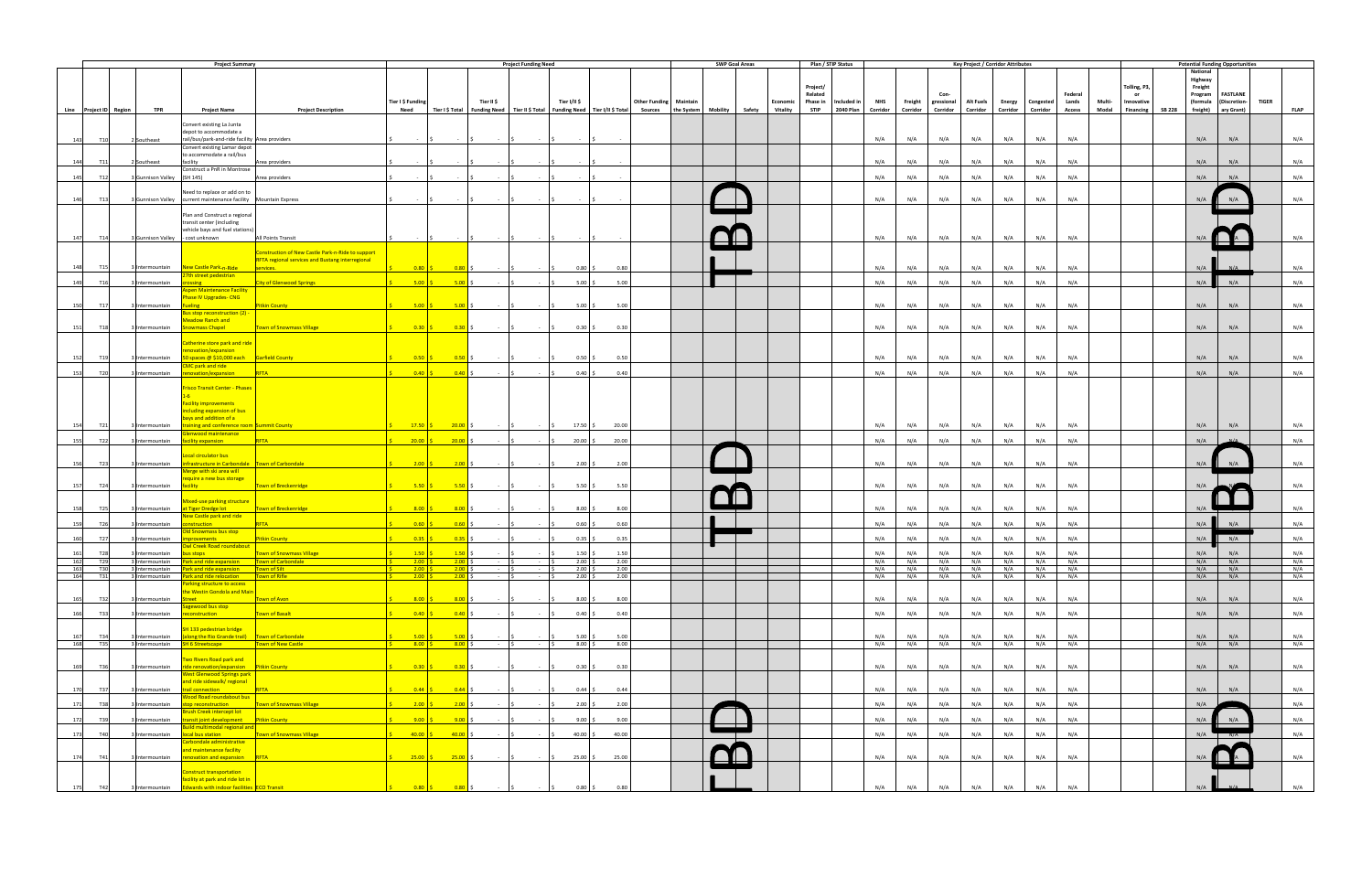|                                  |                                  | <b>Project Summary</b>                                                                                                 |                                                                                |                                                                                                                           | <b>Project Funding Need</b>                  |                                                                                                                                                                                                                                   |              |                        | <b>SWP Goal Areas</b> |                 | Plan / STIP Status   |            |                    |                              | <b>Key Project / Corridor Attributes</b> |               |           |            |        |                        |                     | <b>Potential Funding Opportunities</b> |              |             |
|----------------------------------|----------------------------------|------------------------------------------------------------------------------------------------------------------------|--------------------------------------------------------------------------------|---------------------------------------------------------------------------------------------------------------------------|----------------------------------------------|-----------------------------------------------------------------------------------------------------------------------------------------------------------------------------------------------------------------------------------|--------------|------------------------|-----------------------|-----------------|----------------------|------------|--------------------|------------------------------|------------------------------------------|---------------|-----------|------------|--------|------------------------|---------------------|----------------------------------------|--------------|-------------|
|                                  |                                  |                                                                                                                        |                                                                                |                                                                                                                           |                                              |                                                                                                                                                                                                                                   |              |                        |                       |                 |                      |            |                    |                              |                                          |               |           |            |        |                        | National            |                                        |              |             |
|                                  |                                  |                                                                                                                        |                                                                                |                                                                                                                           |                                              |                                                                                                                                                                                                                                   |              |                        |                       |                 |                      |            |                    |                              |                                          |               |           |            |        |                        | Highway             |                                        |              |             |
|                                  |                                  |                                                                                                                        |                                                                                |                                                                                                                           |                                              |                                                                                                                                                                                                                                   |              |                        |                       |                 | Project/             |            |                    |                              |                                          |               |           |            |        | Tolling, P3,           | Freight             |                                        |              |             |
|                                  |                                  |                                                                                                                        |                                                                                |                                                                                                                           |                                              |                                                                                                                                                                                                                                   |              |                        |                       |                 | Related              |            |                    |                              |                                          |               |           | Federal    |        | or                     | Program             | <b>FASTLANE</b>                        |              |             |
|                                  |                                  |                                                                                                                        | Tier I \$ Funding                                                              | Tier II \$                                                                                                                |                                              | Tier I/II \$                                                                                                                                                                                                                      |              | Other Funding Maintain |                       | <b>Economic</b> | Phase in Included in | <b>NHS</b> |                    | Freight gressional Alt Fuels |                                          | <b>Energy</b> | Congested | Lands      | Multi- | Innovative             | (formula            | (Discretion-                           | <b>TIGER</b> |             |
| Line Project ID Region           | <b>TPR</b>                       | <b>Project Name</b>                                                                                                    | <b>Project Description</b><br><b>Need</b>                                      |                                                                                                                           |                                              | Tier I\$Total   Funding Need   Tier II\$Total   Funding Need   Tier I/II\$Total   Sources   the System   Mobility   Safety   Vitality   STIP   2040 Plan   Corridor   Corridor   Corridor   Corridor   Corridor   Corridor   Corr |              |                        |                       |                 |                      |            |                    |                              |                                          |               |           |            |        | Modal Financing SB 228 | freight) ary Grant) |                                        |              | <b>FLAP</b> |
|                                  |                                  |                                                                                                                        |                                                                                |                                                                                                                           |                                              |                                                                                                                                                                                                                                   |              |                        |                       |                 |                      |            |                    |                              |                                          |               |           |            |        |                        |                     |                                        |              |             |
|                                  |                                  | Convert existing La Junta                                                                                              |                                                                                |                                                                                                                           |                                              |                                                                                                                                                                                                                                   |              |                        |                       |                 |                      |            |                    |                              |                                          |               |           |            |        |                        |                     |                                        |              |             |
|                                  |                                  | depot to accommodate a                                                                                                 |                                                                                |                                                                                                                           |                                              |                                                                                                                                                                                                                                   |              |                        |                       |                 |                      |            |                    |                              |                                          |               |           |            |        |                        |                     |                                        |              |             |
| 143<br><b>T10</b>                | 2 Southeast                      | rail/bus/park-and-ride facility Area providers                                                                         |                                                                                |                                                                                                                           |                                              |                                                                                                                                                                                                                                   |              |                        |                       |                 |                      | N/A        | N/A                | N/A                          | N/A                                      | N/A           | N/A       | N/A        |        |                        | N/A                 | N/A                                    |              | N/A         |
|                                  |                                  | Convert existing Lamar depot<br>to accommodate a rail/bus                                                              |                                                                                |                                                                                                                           |                                              |                                                                                                                                                                                                                                   |              |                        |                       |                 |                      |            |                    |                              |                                          |               |           |            |        |                        |                     |                                        |              |             |
| 144<br>T11                       | 2 Southeast                      | facility<br>Area providers                                                                                             |                                                                                |                                                                                                                           |                                              |                                                                                                                                                                                                                                   |              |                        |                       |                 |                      | N/A        | N/A                | N/A                          | N/A                                      | N/A           | N/A       | N/A        |        |                        | N/A                 | N/A                                    |              | N/A         |
|                                  |                                  | Construct a PnR in Montrose                                                                                            |                                                                                |                                                                                                                           |                                              |                                                                                                                                                                                                                                   |              |                        |                       |                 |                      |            |                    |                              |                                          |               |           |            |        |                        |                     |                                        |              |             |
| 145<br>T12                       | 3 Gunnison Valley (SH 145)       | Area providers                                                                                                         |                                                                                |                                                                                                                           |                                              |                                                                                                                                                                                                                                   |              |                        |                       |                 |                      | N/A        | N/A                | N/A                          | N/A                                      | N/A           | N/A       | N/A        |        |                        | N/A                 | N/A                                    |              | N/A         |
|                                  |                                  |                                                                                                                        |                                                                                |                                                                                                                           |                                              |                                                                                                                                                                                                                                   |              |                        |                       |                 |                      |            |                    |                              |                                          |               |           |            |        |                        |                     |                                        |              |             |
|                                  |                                  | Need to replace or add on to                                                                                           |                                                                                |                                                                                                                           |                                              |                                                                                                                                                                                                                                   |              |                        |                       |                 |                      |            |                    |                              |                                          |               |           |            |        |                        |                     |                                        |              |             |
| 146<br>T13                       |                                  | Gunnison Valley    current maintenance facility    Mountain Express                                                    |                                                                                |                                                                                                                           |                                              |                                                                                                                                                                                                                                   |              |                        |                       |                 |                      | N/A        | N/A                | N/A                          | N/A                                      | N/A           | N/A       | N/A        |        |                        | N/A                 |                                        |              | N/A         |
|                                  |                                  |                                                                                                                        |                                                                                |                                                                                                                           |                                              |                                                                                                                                                                                                                                   |              |                        |                       |                 |                      |            |                    |                              |                                          |               |           |            |        |                        |                     |                                        |              |             |
|                                  |                                  | Plan and Construct a regional                                                                                          |                                                                                |                                                                                                                           |                                              |                                                                                                                                                                                                                                   |              |                        |                       |                 |                      |            |                    |                              |                                          |               |           |            |        |                        |                     |                                        |              |             |
|                                  |                                  | transit center (including                                                                                              |                                                                                |                                                                                                                           |                                              |                                                                                                                                                                                                                                   |              |                        |                       |                 |                      |            |                    |                              |                                          |               |           |            |        |                        |                     |                                        |              |             |
|                                  |                                  | vehicle bays and fuel stations)                                                                                        |                                                                                |                                                                                                                           |                                              |                                                                                                                                                                                                                                   |              |                        |                       |                 |                      |            |                    |                              |                                          |               |           |            |        |                        |                     |                                        |              |             |
| T14<br>147                       | 3 Gunnison Valley - cost unknown | All Points Transit                                                                                                     | $\sim 10^{-1}$                                                                 |                                                                                                                           | <b>Contract</b>                              |                                                                                                                                                                                                                                   |              |                        |                       |                 |                      | N/A        | N/A                | N/A                          | N/A                                      | N/A           | N/A       | N/A        |        |                        | N/A                 |                                        |              | N/A         |
|                                  |                                  | Construction of New Castle Park-n-Ride to support                                                                      |                                                                                |                                                                                                                           |                                              |                                                                                                                                                                                                                                   |              |                        |                       |                 |                      |            |                    |                              |                                          |               |           |            |        |                        |                     |                                        |              |             |
|                                  |                                  | <b>RFTA regional services and Bustang interregional</b>                                                                |                                                                                |                                                                                                                           |                                              |                                                                                                                                                                                                                                   |              |                        |                       |                 |                      |            |                    |                              |                                          |               |           |            |        |                        |                     |                                        |              |             |
| 148<br>T15                       | 3 Intermountain                  | New Castle Park-n-Ride<br>services.                                                                                    | $0.80$ \$                                                                      | $0.80$ \$                                                                                                                 | <b>Contractor</b>                            | $0.80$ \$                                                                                                                                                                                                                         | 0.80         |                        |                       |                 |                      | N/A        | N/A                | N/A                          | N/A                                      | N/A           | N/A       | N/A        |        |                        | N/A                 | $N/\Delta$                             |              | N/A         |
|                                  |                                  | 7th street pedestrian                                                                                                  |                                                                                |                                                                                                                           |                                              |                                                                                                                                                                                                                                   |              |                        |                       |                 |                      |            |                    |                              |                                          |               |           |            |        |                        |                     |                                        |              |             |
| 149<br>T16                       | 3 Intermountain                  | <b>City of Glenwood Springs</b><br>ossing                                                                              | $5.00$ :                                                                       | $5.00$ \$                                                                                                                 | <b>Contract</b>                              | 5.00%                                                                                                                                                                                                                             | 5.00         |                        |                       |                 |                      | N/A        | N/A                | N/A                          | N/A                                      | N/A           | N/A       | N/A        |        |                        | N/A                 | N/A                                    |              | N/A         |
|                                  |                                  | spen Maintenance Facility                                                                                              |                                                                                |                                                                                                                           |                                              |                                                                                                                                                                                                                                   |              |                        |                       |                 |                      |            |                    |                              |                                          |               |           |            |        |                        |                     |                                        |              |             |
|                                  |                                  | hase IV Upgrades- CNG                                                                                                  |                                                                                |                                                                                                                           |                                              |                                                                                                                                                                                                                                   |              |                        |                       |                 |                      |            |                    |                              |                                          |               |           |            |        |                        |                     |                                        |              |             |
| T17<br>150                       | Intermountain                    | <b>Pitkin County</b><br><u>Fueling</u>                                                                                 | $5.00$ \$                                                                      | $5.00$ \$                                                                                                                 | and the state of                             | $5.00\,$ \$                                                                                                                                                                                                                       | 5.00         |                        |                       |                 |                      | N/A        | N/A                | N/A                          | N/A                                      | N/A           | N/A       | N/A        |        |                        | N/A                 | N/A                                    |              | N/A         |
|                                  |                                  | us stop reconstruction (2) -                                                                                           |                                                                                |                                                                                                                           |                                              |                                                                                                                                                                                                                                   |              |                        |                       |                 |                      |            |                    |                              |                                          |               |           |            |        |                        |                     |                                        |              |             |
|                                  |                                  | Meadow Ranch and                                                                                                       |                                                                                |                                                                                                                           |                                              |                                                                                                                                                                                                                                   |              |                        |                       |                 |                      |            |                    |                              |                                          |               |           |            |        |                        |                     |                                        |              |             |
| 151<br><b>T18</b>                | 3 Intermountain                  | nowmass Chapel<br>Town of Snowmass Village                                                                             |                                                                                | $\begin{array}{ c c c c c } \hline 0.30 & \text{\textcircled{s}} \ \hline \end{array}$                                    | $\sim$ $\sim$ $\sim$<br>$-15$                | $0.30\degree$ \$                                                                                                                                                                                                                  | 0.30         |                        |                       |                 |                      | N/A        | N/A                | N/A                          | N/A                                      | N/A           | N/A       | N/A        |        |                        | N/A                 | N/A                                    |              | N/A         |
|                                  |                                  |                                                                                                                        |                                                                                |                                                                                                                           |                                              |                                                                                                                                                                                                                                   |              |                        |                       |                 |                      |            |                    |                              |                                          |               |           |            |        |                        |                     |                                        |              |             |
|                                  |                                  | atherine store park and ride                                                                                           |                                                                                |                                                                                                                           |                                              |                                                                                                                                                                                                                                   |              |                        |                       |                 |                      |            |                    |                              |                                          |               |           |            |        |                        |                     |                                        |              |             |
| 152<br>T19                       | 3 Intermountain                  | novation/expansion<br>0 spaces @ \$10,000 each Garfield County                                                         | $0.50$ \$                                                                      | $0.50$ \$                                                                                                                 | $\sim$ $\sim$ $\sim$<br>$\sim$ $\sim$ $\sim$ | $0.50$ \$                                                                                                                                                                                                                         | 0.50         |                        |                       |                 |                      | N/A        | N/A                | N/A                          | N/A                                      | N/A           | N/A       | N/A        |        |                        | N/A                 | N/A                                    |              | N/A         |
|                                  |                                  | MC park and ride                                                                                                       |                                                                                |                                                                                                                           |                                              |                                                                                                                                                                                                                                   |              |                        |                       |                 |                      |            |                    |                              |                                          |               |           |            |        |                        |                     |                                        |              |             |
| 153<br><b>T20</b>                | 3 Intermountain                  | enovation/expansion<br>RFTA                                                                                            | 0.40 S                                                                         | $0.40$ \$                                                                                                                 | <b><i>Committee States</i></b><br>$-15$      | $0.40\degree$ \$                                                                                                                                                                                                                  | 0.40         |                        |                       |                 |                      | N/A        | N/A                | N/A                          | N/A                                      | N/A           | N/A       | N/A        |        |                        | N/A                 | N/A                                    |              | N/A         |
|                                  |                                  |                                                                                                                        |                                                                                |                                                                                                                           |                                              |                                                                                                                                                                                                                                   |              |                        |                       |                 |                      |            |                    |                              |                                          |               |           |            |        |                        |                     |                                        |              |             |
|                                  |                                  | risco Transit Center - Phases                                                                                          |                                                                                |                                                                                                                           |                                              |                                                                                                                                                                                                                                   |              |                        |                       |                 |                      |            |                    |                              |                                          |               |           |            |        |                        |                     |                                        |              |             |
|                                  |                                  |                                                                                                                        |                                                                                |                                                                                                                           |                                              |                                                                                                                                                                                                                                   |              |                        |                       |                 |                      |            |                    |                              |                                          |               |           |            |        |                        |                     |                                        |              |             |
|                                  |                                  | <b>Facility improvements</b>                                                                                           |                                                                                |                                                                                                                           |                                              |                                                                                                                                                                                                                                   |              |                        |                       |                 |                      |            |                    |                              |                                          |               |           |            |        |                        |                     |                                        |              |             |
|                                  |                                  | ncluding expansion of bus                                                                                              |                                                                                |                                                                                                                           |                                              |                                                                                                                                                                                                                                   |              |                        |                       |                 |                      |            |                    |                              |                                          |               |           |            |        |                        |                     |                                        |              |             |
|                                  |                                  | ays and addition of a                                                                                                  |                                                                                |                                                                                                                           |                                              |                                                                                                                                                                                                                                   |              |                        |                       |                 |                      |            |                    |                              |                                          |               |           |            |        |                        |                     |                                        |              |             |
| 154<br>T21                       | 3 Intermountain                  | raining and conference room Summit County                                                                              | $17.50$ \$                                                                     | $20.00$ \$                                                                                                                | $ \sim$ $\sim$ $\sim$<br>$-15$               | 17.50 \$                                                                                                                                                                                                                          | 20.00        |                        |                       |                 |                      | N/A        | N/A                | N/A                          | N/A                                      | N/A           | N/A       | N/A        |        |                        | N/A                 | N/A                                    |              | N/A         |
|                                  |                                  | ilenwood maintenance                                                                                                   |                                                                                |                                                                                                                           |                                              |                                                                                                                                                                                                                                   |              |                        |                       |                 |                      |            |                    |                              |                                          |               |           |            |        |                        |                     |                                        |              |             |
| 155<br>T22                       | Intermountain                    | facility expansion<br><b>RFTA</b>                                                                                      | $20.00$ \$                                                                     | $20.00$ \$                                                                                                                | <b>Contractor</b>                            | $20.00$ \$                                                                                                                                                                                                                        | 20.00        |                        |                       |                 |                      | N/A        | N/A                | N/A                          | N/A                                      | N/A           | N/A       | N/A        |        |                        | N/A                 |                                        |              | N/A         |
|                                  |                                  |                                                                                                                        |                                                                                |                                                                                                                           |                                              |                                                                                                                                                                                                                                   |              |                        |                       |                 |                      |            |                    |                              |                                          |               |           |            |        |                        |                     |                                        |              |             |
| T23<br>156                       | 3 Intermountain                  | ocal circulator bus<br>infrastructure in Carbondale   Town of Carbondale                                               | $2.00$ \$                                                                      | $2.00$ \$                                                                                                                 | $ \sim$                                      | $2.00\%$                                                                                                                                                                                                                          | 2.00         |                        |                       |                 |                      | N/A        | N/A                | N/A                          | N/A                                      | N/A           | N/A       | N/A        |        |                        | N/A                 | N/A                                    |              | N/A         |
|                                  |                                  | Merge with ski area will                                                                                               |                                                                                |                                                                                                                           |                                              |                                                                                                                                                                                                                                   |              |                        |                       |                 |                      |            |                    |                              |                                          |               |           |            |        |                        |                     |                                        |              |             |
|                                  |                                  | equire a new bus storage                                                                                               |                                                                                |                                                                                                                           |                                              |                                                                                                                                                                                                                                   |              |                        |                       |                 |                      |            |                    |                              |                                          |               |           |            |        |                        |                     |                                        |              |             |
| T24<br>157                       | 3 Intermountain                  | Town of Breckenridge<br>facility                                                                                       | $5.50$ \$                                                                      | $5.50$ \$                                                                                                                 | $\sim$ 15                                    | 5.50 $\frac{1}{2}$                                                                                                                                                                                                                | 5.50         |                        |                       |                 |                      | N/A        | N/A                | N/A                          | N/A                                      | N/A           | N/A       | N/A        |        |                        | N/A                 |                                        |              | N/A         |
|                                  |                                  |                                                                                                                        |                                                                                |                                                                                                                           |                                              |                                                                                                                                                                                                                                   |              |                        |                       |                 |                      |            |                    |                              |                                          |               |           |            |        |                        |                     |                                        |              |             |
|                                  |                                  | Mixed-use parking structure                                                                                            |                                                                                |                                                                                                                           |                                              |                                                                                                                                                                                                                                   |              |                        |                       |                 |                      |            |                    |                              |                                          |               |           |            |        |                        |                     |                                        |              |             |
| 158<br>T <sub>25</sub>           | Intermountain                    | Town of Breckenridge<br>t Tiger Dredge lot                                                                             | $8.00$ \$                                                                      | 8.00                                                                                                                      |                                              | $8.00$ \$                                                                                                                                                                                                                         | 8.00         |                        |                       |                 |                      | N/A        | N/A                | N/A                          | N/A                                      | N/A           | N/A       | N/A        |        |                        | N/A                 |                                        |              | N/A         |
|                                  |                                  | lew Castle park and ride                                                                                               |                                                                                |                                                                                                                           |                                              |                                                                                                                                                                                                                                   |              |                        |                       |                 |                      |            |                    |                              |                                          |               |           |            |        |                        |                     |                                        |              |             |
| 159<br>T26                       | Intermountain                    | RFTA<br><b>nstruction</b>                                                                                              |                                                                                | $0.60$ \$                                                                                                                 |                                              | $0.60$ \$                                                                                                                                                                                                                         | 0.60         |                        |                       |                 |                      | N/A        | N/A                | N/A                          | N/A                                      | N/A           | N/A       | N/A        |        |                        | N/A                 | N/A                                    |              | N/A         |
|                                  |                                  | <b>Old Snowmass bus stop</b>                                                                                           |                                                                                |                                                                                                                           |                                              |                                                                                                                                                                                                                                   |              |                        |                       |                 |                      |            |                    |                              |                                          |               |           |            |        |                        |                     |                                        |              |             |
| T27<br>160                       | Intermountain                    | <b>Pitkin County</b><br><b>provements</b>                                                                              |                                                                                | 0.35                                                                                                                      |                                              | $0.35$ \$                                                                                                                                                                                                                         | 0.35         |                        |                       |                 |                      | N/A        | N/A                | N/A                          | N/A                                      | N/A           | N/A       | N/A        |        |                        | N/A                 | N/A                                    |              | N/A         |
|                                  |                                  | <b>Owl Creek Road roundabout</b><br>Town of Snowmass Village                                                           | $1.50$ \$                                                                      | $1.50$ \$                                                                                                                 | <b>Contract Contract Contract</b>            |                                                                                                                                                                                                                                   |              |                        |                       |                 |                      | N/A        |                    | N/A                          | N/A                                      | N/A           | N/A       | N/A        |        |                        | N/A                 | N/A                                    |              | N/A         |
| 161<br><b>T28</b><br>$162$ $T29$ |                                  | 3 Intermountain bus stops<br>3 Intermountain <b>Park and ride expansion</b><br>Town of Carbondale                      | $200$ $\zeta$                                                                  | $200$ $\leq$                                                                                                              |                                              | $1.50$ \$<br>$200 \le$                                                                                                                                                                                                            | 1.50<br>2.00 |                        |                       |                 |                      |            | N/A<br>$N/A$ $N/A$ | N/A                          | N/A                                      | N/A           | N/A       | N/A        |        |                        | N/A                 | N/A                                    |              | $N/\Delta$  |
| 163<br><b>T30</b>                |                                  | 3 Intermountain <b>Park and ride expansion</b> Town of Silt                                                            | $2.00 \tbinom{2}{5}$ 2.00 \$                                                   |                                                                                                                           |                                              | $2.00$ \$                                                                                                                                                                                                                         | 2.00         |                        |                       |                 |                      | N/A        | N/A                | N/A                          | N/A                                      | N/A           | N/A       | N/A        |        |                        | N/A                 | N/A                                    |              | N/A         |
| 164<br><b>T31</b>                |                                  | 3 Intermountain Park and ride relocation Town of Rifle                                                                 | $2.00\left  \right. \right\}$                                                  | $2.00$ \$                                                                                                                 |                                              | $2.00\%$                                                                                                                                                                                                                          | 2.00         |                        |                       |                 |                      |            | $N/A$ $N/A$        | N/A                          | N/A                                      | N/A           | N/A N/A   |            |        |                        | N/A                 | N/A                                    |              | N/A         |
|                                  |                                  | <b>Parking structure to access</b>                                                                                     |                                                                                |                                                                                                                           |                                              |                                                                                                                                                                                                                                   |              |                        |                       |                 |                      |            |                    |                              |                                          |               |           |            |        |                        |                     |                                        |              |             |
|                                  |                                  | the Westin Gondola and Main                                                                                            |                                                                                |                                                                                                                           |                                              |                                                                                                                                                                                                                                   |              |                        |                       |                 |                      |            |                    |                              |                                          |               |           |            |        |                        |                     |                                        |              |             |
| 165<br>T32                       | 3 Intermountain                  | Street <b>Street</b><br>Town of Avon                                                                                   |                                                                                | $8.00$ $\begin{matrix} 5 & 8.00 \end{matrix}$ $\begin{matrix} 5 & -15 \end{matrix}$ $\begin{matrix} 5 & -15 \end{matrix}$ |                                              | $8.00\%$                                                                                                                                                                                                                          | 8.00         |                        |                       |                 |                      | N/A        | N/A                | N/A                          | N/A                                      | N/A           | N/A       | N/A        |        |                        | N/A                 | N/A                                    |              | N/A         |
|                                  |                                  | Sagewood bus stop                                                                                                      |                                                                                |                                                                                                                           |                                              |                                                                                                                                                                                                                                   |              |                        |                       |                 |                      |            |                    |                              |                                          |               |           |            |        |                        |                     |                                        |              |             |
| <b>T33</b><br>166                |                                  | 3 Intermountain reconstruction<br>Town of Basalt                                                                       | $0.40 \tbinom{1}{5}$ $0.40 \tbinom{1}{5}$                                      |                                                                                                                           | $ \sqrt{5}$<br>$\sim$ $\sim$ $\sim$ $\sim$   | $0.40\degree$ \$                                                                                                                                                                                                                  | 0.40         |                        |                       |                 |                      | N/A        | N/A                | N/A                          | N/A                                      | N/A           | N/A       | N/A        |        |                        | N/A                 | N/A                                    |              | N/A         |
|                                  |                                  |                                                                                                                        |                                                                                |                                                                                                                           |                                              |                                                                                                                                                                                                                                   |              |                        |                       |                 |                      |            |                    |                              |                                          |               |           |            |        |                        |                     |                                        |              |             |
|                                  |                                  | SH 133 pedestrian bridge                                                                                               |                                                                                |                                                                                                                           |                                              |                                                                                                                                                                                                                                   |              |                        |                       |                 |                      |            |                    |                              |                                          |               |           |            |        |                        |                     |                                        |              |             |
| T34<br>167<br>168 T35            |                                  | 3 Intermountain (along the Rio Grande trail) Town of Carbondale<br>3 Intermountain SH 6 Streetscape Town of New Castle | $8.00 \tbinom{6}{5}$ 8.00 \$                                                   |                                                                                                                           |                                              | $5.00$ \$<br>$8.00\frac{2}{3}$                                                                                                                                                                                                    | 5.00<br>8.00 |                        |                       |                 |                      | N/A        | N/A                | N/A                          | N/A<br>N/A                               | N/A<br>N/A    | N/A       | N/A<br>N/A |        |                        | N/A<br>N/A          | N/A<br>N/A                             |              | N/A         |
|                                  |                                  |                                                                                                                        |                                                                                |                                                                                                                           | $-15$<br>$-15$                               |                                                                                                                                                                                                                                   |              |                        |                       |                 |                      |            |                    | N/A N/A N/A                  |                                          |               | N/A       |            |        |                        |                     |                                        |              | N/A         |
|                                  |                                  | Two Rivers Road park and                                                                                               |                                                                                |                                                                                                                           |                                              |                                                                                                                                                                                                                                   |              |                        |                       |                 |                      |            |                    |                              |                                          |               |           |            |        |                        |                     |                                        |              |             |
| T36<br>169                       |                                  | 3 Intermountain ride renovation/expansion Pitkin County                                                                | $0.30 \tbinom{6}{5} 0.30 \tbinom{6}{5}$                                        | $ \sim$ $\sim$                                                                                                            | $\sim$ $\sim$ $\sim$ $\sim$                  | $0.30\,$ \$                                                                                                                                                                                                                       | 0.30         |                        |                       |                 |                      | N/A        | N/A                | N/A                          | N/A                                      | N/A           | N/A       | N/A        |        |                        | N/A                 | N/A                                    |              | N/A         |
|                                  |                                  | <b>West Glenwood Springs park</b>                                                                                      |                                                                                |                                                                                                                           |                                              |                                                                                                                                                                                                                                   |              |                        |                       |                 |                      |            |                    |                              |                                          |               |           |            |        |                        |                     |                                        |              |             |
|                                  |                                  | and ride sidewalk/ regional                                                                                            |                                                                                |                                                                                                                           |                                              |                                                                                                                                                                                                                                   |              |                        |                       |                 |                      |            |                    |                              |                                          |               |           |            |        |                        |                     |                                        |              |             |
| T37<br>170                       |                                  | 3 Intermountain trail connection RFTA                                                                                  | $\begin{array}{ccccccc}\n0.44 & \zeta & 0.44 & \zeta & - & \zeta\n\end{array}$ |                                                                                                                           |                                              | $0.44 \,$ \$                                                                                                                                                                                                                      | 0.44         |                        |                       |                 |                      | N/A        | N/A                | N/A                          | N/A                                      | N/A           | N/A       | N/A        |        |                        | N/A                 | N/A                                    |              | N/A         |
|                                  |                                  | Wood Road roundabout bus                                                                                               |                                                                                |                                                                                                                           |                                              |                                                                                                                                                                                                                                   |              |                        |                       |                 |                      |            |                    |                              |                                          |               |           |            |        |                        |                     |                                        |              |             |
| <b>T38</b><br>171                |                                  | 3 Intermountain stop reconstruction Town of Snowmass Village                                                           | $2.00 \, \frac{\zeta}{2}$ 2.00 $\zeta$                                         |                                                                                                                           |                                              | $2.00$ \$                                                                                                                                                                                                                         | 2.00         |                        |                       |                 |                      | N/A        | N/A                | N/A                          | N/A                                      | N/A           | N/A       | N/A        |        |                        | N/A                 |                                        |              | N/A         |
|                                  |                                  | <b>Brush Creek intercept lot</b>                                                                                       |                                                                                |                                                                                                                           |                                              |                                                                                                                                                                                                                                   |              |                        |                       |                 |                      |            |                    |                              |                                          |               |           |            |        |                        |                     |                                        |              |             |
| 172<br>T39                       | 3 Intermountain                  | <b>transit joint development</b> Pitkin County                                                                         | $9.00$ $\mid$ \$                                                               | $\begin{array}{ccc} \text{9.00} \ \text{S} \end{array}$ - $\begin{array}{ccc} \text{S} \end{array}$                       | <b>Contractor</b>                            | $9.00$ \$                                                                                                                                                                                                                         | 9.00         |                        |                       |                 |                      | N/A        | N/A                | N/A                          | N/A                                      | N/A           | N/A       | N/A        |        |                        | N/A                 | N/A                                    |              | N/A         |
|                                  |                                  | Build multimodal regional and                                                                                          |                                                                                |                                                                                                                           |                                              |                                                                                                                                                                                                                                   |              |                        |                       |                 |                      |            |                    |                              |                                          |               |           |            |        |                        |                     |                                        |              |             |
| 173<br><b>T40</b>                |                                  | 3 Intermountain local bus station <b>Town of Snowmass Village</b>                                                      | $40.00 \begin{pmatrix} 5 \\ 10.00 \end{pmatrix}$ \$                            | $ \sim$ $\sim$                                                                                                            | $\sim$ $\sim$ $\sim$                         | 40.00 \$                                                                                                                                                                                                                          | 40.00        |                        |                       |                 |                      | N/A        | N/A                | N/A                          | N/A                                      | N/A           | N/A       | N/A        |        |                        |                     | $N/A$ $N/A$                            |              | N/A         |
|                                  |                                  | Carbondale administrative<br>and maintenance facility                                                                  |                                                                                |                                                                                                                           |                                              |                                                                                                                                                                                                                                   |              |                        |                       |                 |                      |            |                    |                              |                                          |               |           |            |        |                        |                     |                                        |              |             |
| T41<br>174                       |                                  | 3 Intermountain <b>renovation and expansion</b> RFTA                                                                   |                                                                                |                                                                                                                           |                                              | $25.00$ \$                                                                                                                                                                                                                        | 25.00        |                        |                       |                 |                      | N/A        | N/A                | N/A                          | N/A                                      | N/A           | N/A       | N/A        |        |                        | N/A                 |                                        |              | N/A         |
|                                  |                                  |                                                                                                                        |                                                                                |                                                                                                                           |                                              |                                                                                                                                                                                                                                   |              |                        |                       |                 |                      |            |                    |                              |                                          |               |           |            |        |                        |                     |                                        |              |             |
|                                  |                                  | <b>Construct transportation</b>                                                                                        |                                                                                |                                                                                                                           |                                              |                                                                                                                                                                                                                                   |              |                        |                       |                 |                      |            |                    |                              |                                          |               |           |            |        |                        |                     |                                        |              |             |
|                                  |                                  | facility at park and ride lot in                                                                                       |                                                                                |                                                                                                                           |                                              |                                                                                                                                                                                                                                   |              |                        |                       |                 |                      |            |                    |                              |                                          |               |           |            |        |                        |                     |                                        |              |             |
| 175 T42                          |                                  | 3 Intermountain Edwards with indoor facilities ECO Transit                                                             | $0.80$ \$                                                                      | $0.80$ \$                                                                                                                 |                                              | $0.80\frac{1}{5}$                                                                                                                                                                                                                 | 0.80         |                        |                       |                 |                      | N/A        | N/A                | N/A                          | N/A                                      | N/A           | N/A       | N/A        |        |                        | N/A                 |                                        |              | N/A         |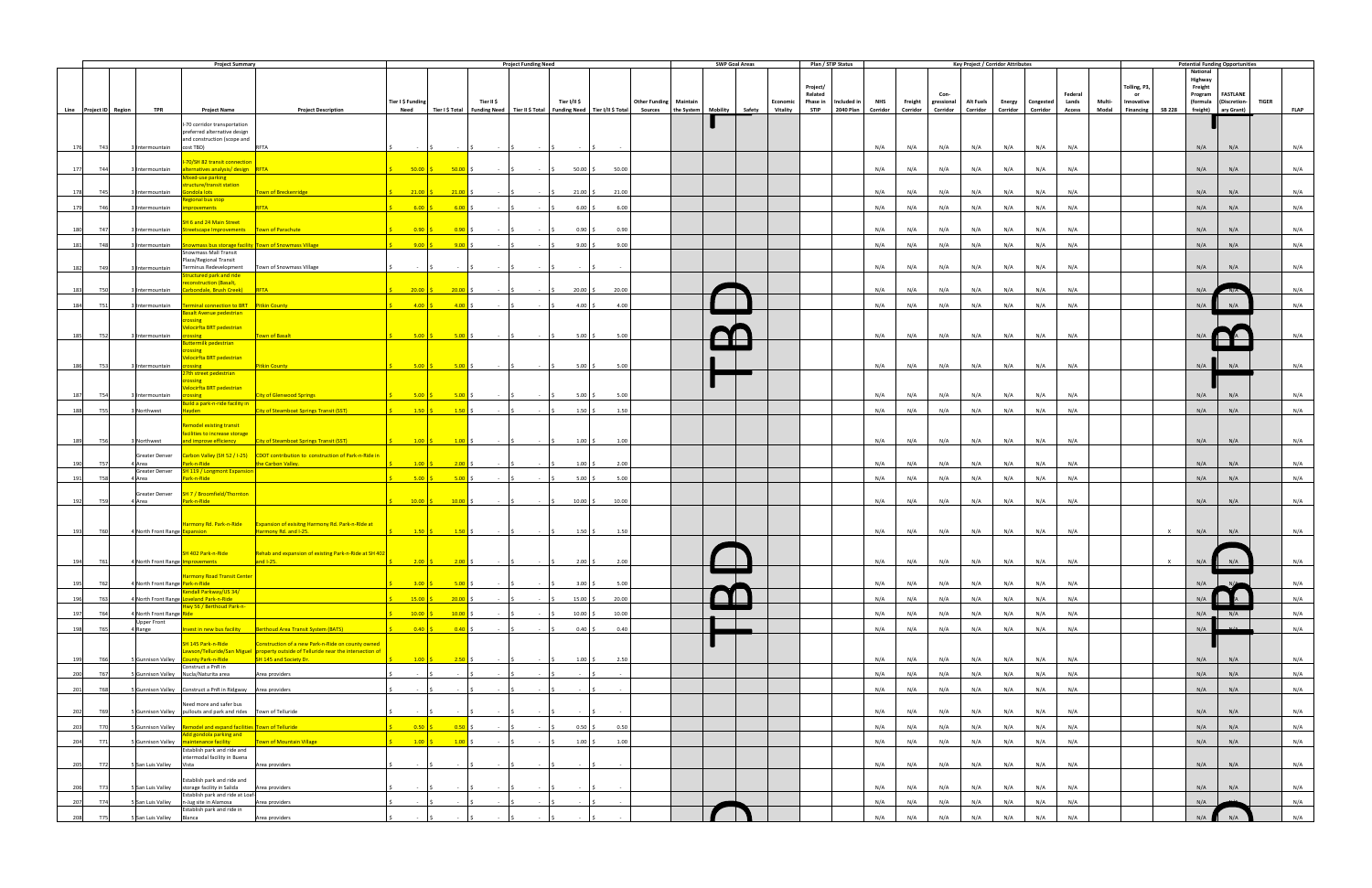|                                 |                                 | <b>Project Summary</b>                                                                       |                                                                                                                                         |                          |                                                                  |            | <b>Project Funding Need</b>                                                                        |                         |                                                                                                                                                                                                                                   | <b>SWP Goal Areas</b> |                               |                     | Plan / STIP Status |            |            |                           | <b>Key Project / Corridor Attributes</b> |               |            |                  |        |                                  | <b>Potential Funding Opportunities</b>           |                                          |     |              |             |
|---------------------------------|---------------------------------|----------------------------------------------------------------------------------------------|-----------------------------------------------------------------------------------------------------------------------------------------|--------------------------|------------------------------------------------------------------|------------|----------------------------------------------------------------------------------------------------|-------------------------|-----------------------------------------------------------------------------------------------------------------------------------------------------------------------------------------------------------------------------------|-----------------------|-------------------------------|---------------------|--------------------|------------|------------|---------------------------|------------------------------------------|---------------|------------|------------------|--------|----------------------------------|--------------------------------------------------|------------------------------------------|-----|--------------|-------------|
|                                 |                                 |                                                                                              |                                                                                                                                         | Tier I \$ Funding        |                                                                  | Tier II \$ |                                                                                                    | Tier I/II \$            | <b>Other Funding Maintain</b>                                                                                                                                                                                                     |                       | Economic Phase in Included in | Project/<br>Related |                    | <b>NHS</b> |            | Con<br>Freight gressional | <b>Alt Fuels</b>                         | <b>Energy</b> | Congested  | Federal<br>Lands | Multi- | Tolling, P3,<br>or<br>Innovative | <b>National</b><br>Highway<br>Freight<br>Program | <b>FASTLANE</b><br>(formula (Discretion- |     | <b>TIGER</b> |             |
| Line Project ID Region          | <b>TPR</b>                      | <b>Project Name</b>                                                                          | <b>Project Description</b>                                                                                                              | <b>Need</b>              |                                                                  |            |                                                                                                    |                         | Tier I\$ Total   Funding Need   Tier II\$ Total   Funding Need   Tier I/II\$ Total   Sources   the System   Mobility   Safety   Vitality   STIP   2040 Plan   Corridor   Corridor   Corridor   Corridor   Corridor   Corridor   C |                       |                               |                     |                    |            |            |                           |                                          |               |            | <b>Access</b>    |        | Modal Financing                  | SB 228 freight) ary Grant)                       |                                          |     |              | <b>FLAP</b> |
| T43<br>176                      | 3 Intermountain cost TBD)       | I-70 corridor transportation<br>preferred alternative design<br>and construction (scope and  | <b>RFTA</b>                                                                                                                             |                          |                                                                  |            |                                                                                                    |                         |                                                                                                                                                                                                                                   |                       |                               |                     |                    | N/A        | N/A        | N/A                       | N/A                                      | N/A           | N/A        | N/A              |        |                                  | N/A                                              | N/A                                      |     |              | N/A         |
| T44<br>177                      | 3 Intermountain                 | 70/SH 82 transit connection<br>alternatives analysis/ design RFTA                            |                                                                                                                                         | $50.00$ $\sqrt{5}$       | $50.00$ \$                                                       | $ \sim$    | $\sim$ $\sim$ $\sim$                                                                               | $50.00\%$               | 50.00                                                                                                                                                                                                                             |                       |                               |                     |                    | N/A        | N/A        | N/A                       | N/A                                      | N/A           | N/A        | N/A              |        |                                  | N/A                                              | N/A                                      |     |              | N/A         |
| 178<br><b>T45</b>               | Intermountain                   | Mixed-use parking<br>tructure/transit station<br>iondola lots                                | Town of Breckenridge                                                                                                                    | $21.00$ \$               | $21.00$ \$                                                       |            |                                                                                                    | $21.00$ \$              | 21.00                                                                                                                                                                                                                             |                       |                               |                     |                    | N/A        | N/A        | N/A                       | N/A                                      | N/A           | N/A        | N/A              |        |                                  | N/A                                              | N/A                                      |     |              | N/A         |
| 179<br>T46                      | Intermountain                   | egional bus stop<br><b>provements</b>                                                        | RFTA                                                                                                                                    | 6.00                     | 6.00                                                             |            |                                                                                                    | $6.00$ \$               | 6.00                                                                                                                                                                                                                              |                       |                               |                     |                    | N/A        | N/A        | N/A                       | N/A                                      | N/A           | N/A        | N/A              |        |                                  | N/A                                              | N/A                                      |     |              | N/A         |
| 180<br>T47                      | 3 Intermountain                 | H 6 and 24 Main Street<br>Streetscape Improvements   Town of Parachute                       |                                                                                                                                         | $0.90$ \$                | $\begin{array}{ c c c c c } \hline 0.90 & \text{\$} \end{array}$ | $\sim$ 1.5 | <b>Contractor</b>                                                                                  | $0.90\%$                | 0.90                                                                                                                                                                                                                              |                       |                               |                     |                    | N/A        | N/A        | N/A                       | N/A                                      | N/A           | N/A        | N/A              |        |                                  | N/A                                              |                                          | N/A |              | N/A         |
| 181<br><b>T48</b>               |                                 |                                                                                              | 3 Intermountain <b>Showmass bus storage facility Town of Snowmass Village Showman Showman Shows</b>                                     | $9.00$ \$                | $9.00$ \$                                                        |            |                                                                                                    | $9.00$ \$               | 9.00                                                                                                                                                                                                                              |                       |                               |                     |                    | N/A        | N/A        | N/A                       | N/A                                      | N/A           | N/A        | N/A              |        |                                  | N/A                                              | N/A                                      |     |              | N/A         |
| 182<br>T49                      | 3 Intermountain                 | Snowmass Mall Transit<br>Plaza/Regional Transit<br>Terminus Redevelopment                    | Town of Snowmass Village                                                                                                                |                          |                                                                  |            |                                                                                                    |                         |                                                                                                                                                                                                                                   |                       |                               |                     |                    | N/A        | N/A        | N/A                       | N/A                                      | N/A           | N/A        | N/A              |        |                                  | N/A                                              | N/A                                      |     |              | N/A         |
|                                 |                                 | Structured park and ride                                                                     |                                                                                                                                         |                          |                                                                  |            |                                                                                                    |                         |                                                                                                                                                                                                                                   |                       |                               |                     |                    |            |            |                           |                                          |               |            |                  |        |                                  |                                                  |                                          |     |              |             |
| 183<br><b>T50</b>               | 3 Intermountain                 | econstruction (Basalt,<br>Carbondale, Brush Creek) RFTA                                      |                                                                                                                                         | $20.00$ \$               | $20.00$ \$                                                       |            |                                                                                                    | $20.00$ \$              | 20.00                                                                                                                                                                                                                             |                       |                               |                     |                    | N/A        | N/A        | N/A                       | N/A                                      | N/A           | N/A        | N/A              |        |                                  | N/A                                              |                                          |     |              | N/A         |
| T51<br>184                      |                                 | Intermountain Terminal connection to BRT Pitkin County<br>Basalt Avenue pedestrian           |                                                                                                                                         | $4.00$ \$                | $-4.00$ \$                                                       |            |                                                                                                    | $4.00$ \$               | 4.00                                                                                                                                                                                                                              |                       |                               |                     |                    | N/A        | N/A        | N/A                       | N/A                                      | N/A           | N/A        | N/A              |        |                                  | N/A                                              |                                          | N/A |              | N/A         |
| 185<br><b>T52</b>               | 3 Intermountain                 | rossine<br>elocirfta BRT pedestrian<br>rossing                                               | <b>Town of Basalt</b>                                                                                                                   |                          | $5.00 \,$ \$ 5.00 \$                                             |            | $\sim$ $\sim$ $\sim$ $\sim$                                                                        | $5.00$ \$               | 5.00                                                                                                                                                                                                                              |                       |                               |                     |                    | N/A        | N/A        | N/A                       | N/A                                      | N/A           | N/A        | N/A              |        |                                  | N/L                                              |                                          |     |              | N/A         |
|                                 |                                 | suttermilk pedestrian<br>rossing<br>elocirfta BRT pedestrian                                 |                                                                                                                                         |                          |                                                                  |            |                                                                                                    |                         |                                                                                                                                                                                                                                   |                       |                               |                     |                    |            |            |                           |                                          |               |            |                  |        |                                  |                                                  |                                          |     |              |             |
| 186<br><b>T53</b>               | 3 Intermountain                 | <b>crossing</b><br>27th street pedestrian                                                    | <b>Pitkin County</b>                                                                                                                    |                          | $5.00 \tbinom{6}{5}$ 5.00 \$                                     |            |                                                                                                    | $5.00$ \$               | 5.00                                                                                                                                                                                                                              |                       |                               |                     |                    | N/A        | N/A        | N/A                       | N/A                                      | N/A           | N/A        | N/A              |        |                                  | N/A                                              | N/A                                      |     |              | N/A         |
| T54<br>187                      | Intermountain                   | rossing<br>elocirfta BRT pedestrian<br>rossing                                               | <b>City of Glenwood Springs</b>                                                                                                         | $5.00$ \$                | 5.00                                                             |            |                                                                                                    | $5.00$ \$               | 5.00                                                                                                                                                                                                                              |                       |                               |                     |                    | N/A        | N/A        | N/A                       | N/A                                      | N/A           | N/A        | N/A              |        |                                  | N/A                                              | N/A                                      |     |              | N/A         |
|                                 |                                 | uild a park-n-ride facility in                                                               |                                                                                                                                         |                          |                                                                  |            |                                                                                                    |                         |                                                                                                                                                                                                                                   |                       |                               |                     |                    |            |            |                           |                                          |               |            |                  |        |                                  |                                                  |                                          |     |              |             |
| 188<br><b>T55</b>               | 3 Northwest                     | layden a                                                                                     | <b>City of Steamboat Springs Transit (SST)</b>                                                                                          | $1.50$ \$                | $\frac{1.50}{ }$ \$                                              | $-15$      | <b>Contractor</b>                                                                                  | $1.50 \,$ \$            | 1.50                                                                                                                                                                                                                              |                       |                               |                     |                    | N/A        | N/A        | N/A                       | N/A                                      | N/A           | N/A        | N/A              |        |                                  | N/A                                              | N/A                                      |     |              | N/A         |
| T56<br>189                      | Northwest                       | temodel existing transit<br>facilities to increase storage<br>and improve efficiency         | <b>City of Steamboat Springs Transit (SST)</b>                                                                                          |                          | $1.00 \tbinom{2}{3}$ $1.00 \tbinom{3}{4}$                        | $-5$       | $\sim 10^{11}$ km s $^{-1}$                                                                        | $1.00 \pm 5$            | 1.00                                                                                                                                                                                                                              |                       |                               |                     |                    | N/A        | N/A        | N/A                       | N/A                                      | N/A           | N/A        | N/A              |        |                                  | N/A                                              | N/A                                      |     |              | N/A         |
| 190<br><b>T57</b>               | 4 Area                          | Park-n-Ride                                                                                  | Greater Denver Carbon Valley (SH 52 / 1-25) CDOT contribution to construction of Park-n-Ride in<br>the Carbon Valley.                   | $1.00$ \$                | $2.00$ \$                                                        | $\sim$ 1.5 | <b>Contract Contract</b>                                                                           | $1.00 \,$ \$            | 2.00                                                                                                                                                                                                                              |                       |                               |                     |                    | N/A        | N/A        | N/A                       | N/A                                      | N/A           | N/A        | N/A              |        |                                  | N/A                                              | N/A                                      |     |              | N/A         |
| 191<br><b>T58</b>               | 4 Area                          | Greater Denver <b>SH 119 / Longmont Expansion</b><br>Park-n-Ride                             |                                                                                                                                         | $5.00$ $\sqrt{5}$        | $5.00$ \$                                                        | $\sim$ 1.5 | <b>Contract</b>                                                                                    | $5.00\%$                | 5.00                                                                                                                                                                                                                              |                       |                               |                     |                    | N/A        | N/A        | N/A                       | N/A                                      | N/A           | N/A        | N/A              |        |                                  | N/A                                              |                                          | N/A |              | N/A         |
| T59<br>192                      | 4 Area                          | Greater Denver <b>SH 7 / Broomfield/Thornton</b><br>Park-n-Ride                              |                                                                                                                                         | $10.00$ \$               | $\frac{10.00}{ }$ \$                                             | $-15$      |                                                                                                    | $10.00$ \$              | 10.00                                                                                                                                                                                                                             |                       |                               |                     |                    | N/A        | N/A        | N/A                       | N/A                                      | N/A           | N/A        | N/A              |        |                                  | N/A                                              | N/A                                      |     |              | N/A         |
| 193<br><b>T60</b>               | 4 North Front Range Expansion   |                                                                                              | larmony Rd. Park-n-Ride   Expansion of exisitng Harmony Rd. Park-n-Ride at<br>Harmony Rd. and I-25.                                     |                          |                                                                  |            | $\begin{array}{ccccccc} & & 1.50 & \zeta & & 1.50 & \zeta & & - & \zeta & & - & \zeta \end{array}$ | $1.50\frac{1}{2}$       | 1.50                                                                                                                                                                                                                              |                       |                               |                     |                    | N/A        | N/A        | N/A                       | N/A                                      | N/A           | N/A        | N/A              |        |                                  | $\times$<br>N/A                                  | N/A                                      |     |              | N/A         |
|                                 | <b>North Front Range</b>        | SH 402 Park-n-Ride                                                                           | Rehab and expansion of existing Park-n-Ride at SH 402<br>and $1.25$                                                                     |                          | $200 \leq s$ $200 \leq$                                          |            |                                                                                                    | $2.00\frac{1}{5}$       | 2.00                                                                                                                                                                                                                              |                       |                               |                     |                    |            | N/A        | N/A                       |                                          |               |            |                  |        |                                  |                                                  |                                          |     |              |             |
|                                 |                                 | <b>Iarmony Road Transit Center</b>                                                           |                                                                                                                                         |                          |                                                                  |            |                                                                                                    |                         |                                                                                                                                                                                                                                   |                       |                               |                     |                    |            |            |                           |                                          |               |            |                  |        |                                  | N/A                                              |                                          |     |              |             |
| 195<br>T62                      | 4 North Front Range Park-n-Ride | Kendall Parkway/US 34/                                                                       |                                                                                                                                         | $3.00$ \$                | $5.00$ \$                                                        |            |                                                                                                    | $3.00\%$                | 5.00                                                                                                                                                                                                                              |                       |                               |                     |                    | N/A        | N/A        | N/A                       | N/A                                      | N/A<br>N/A    | N/A        | N/A<br>N/A       |        |                                  | N/A                                              |                                          |     |              | N/A<br>N/A  |
| 196<br>T63                      | 4 North Front Range Ride        | 4 North Front Range Loveland Park-n-Ride<br>Hwy 56 / Berthoud Park-n-                        |                                                                                                                                         | $15.00$ \$<br>$10.00$ \$ | $20.00$ \$                                                       | $-15$      |                                                                                                    | $15.00$ \$              | 20.00<br>10.00                                                                                                                                                                                                                    |                       |                               |                     |                    | N/A        | N/A        | N/A                       | N/A<br>N/A                               | N/A           | N/A<br>N/A | N/A              |        |                                  |                                                  |                                          |     |              | N/A         |
| 197<br>T64<br>198<br>T65        | Upper Front<br>4 Range          |                                                                                              | Invest in new bus facility   Berthoud Area Transit System (BATS)                                                                        | $0.40$ \$                | $10.00$ \$<br>$0.40$ \$                                          | - 15       |                                                                                                    | $10.00$ \$<br>$0.40$ \$ | 0.40                                                                                                                                                                                                                              |                       |                               |                     |                    | N/A<br>N/A | N/A<br>N/A | N/A<br>N/A                | N/A                                      | N/A           | N/A        | N/A              |        |                                  | $N/A$ $-$<br>N/A                                 |                                          | N/A |              | N/A         |
|                                 |                                 | SH 145 Park-n-Ride                                                                           | Construction of a new Park-n-Ride on county owned<br>Lawson/Telluride/San Miguel property outside of Telluride near the intersection of |                          |                                                                  |            |                                                                                                    |                         |                                                                                                                                                                                                                                   |                       |                               |                     |                    |            |            |                           |                                          |               |            |                  |        |                                  |                                                  |                                          |     |              |             |
| 199<br><b>T66</b><br>200<br>T67 | <b>Gunnison Valley</b>          | <b>County Park-n-Ride</b><br>Construct a PnR in<br>5 Gunnison Valley Nucla/Naturita area     | SH 145 and Society Dr.<br>Area providers                                                                                                | $1.00$ \$                | 2.50 S<br>$\sim$                                                 |            |                                                                                                    | $1.00 \, \text{S}$      | 2.50                                                                                                                                                                                                                              |                       |                               |                     |                    | N/A<br>N/A | N/A<br>N/A | N/A<br>N/A                | N/A<br>N/A                               | N/A<br>N/A    | N/A<br>N/A | N/A<br>N/A       |        |                                  | N/A<br>N/A                                       | N/A                                      | N/A |              | N/A<br>N/A  |
| 201<br><b>T68</b>               |                                 | 5 Gunnison Valley    Construct a PnR in Ridgway    Area providers                            |                                                                                                                                         | $\sim$                   |                                                                  | $\sim$     |                                                                                                    |                         |                                                                                                                                                                                                                                   |                       |                               |                     |                    | N/A        | N/A        | N/A                       | N/A                                      | N/A           | N/A        | N/A              |        |                                  | N/A                                              | N/A                                      |     |              | N/A         |
| 202<br>T69                      |                                 | Need more and safer bus<br>5 Gunnison Valley pullouts and park and rides Town of Telluride   |                                                                                                                                         |                          |                                                                  |            |                                                                                                    |                         |                                                                                                                                                                                                                                   |                       |                               |                     |                    | N/A        | N/A        | N/A                       | N/A                                      | N/A           | N/A        | N/A              |        |                                  | N/A                                              | N/A                                      |     |              | N/A         |
| 203<br><b>T70</b>               |                                 | 5 Gunnison Valley Remodel and expand facilities Town of Telluride<br>Add gondola parking and |                                                                                                                                         | $0.50$ \$                | $0.50$ \$                                                        |            |                                                                                                    | $0.50$ \$               | 0.50                                                                                                                                                                                                                              |                       |                               |                     |                    | N/A        | N/A        | N/A                       | N/A                                      | N/A           | N/A        | N/A              |        |                                  | N/A                                              |                                          | N/A |              | N/A         |
| 204<br>T71                      |                                 | 5 Gunnison Valley Maintenance facility<br>Establish park and ride and                        | Town of Mountain Village                                                                                                                | $1.00$ $\vert$ \$        | $1.00$ \$                                                        |            |                                                                                                    | $1.00$ \$               | 1.00                                                                                                                                                                                                                              |                       |                               |                     |                    | N/A        | N/A        | N/A                       | N/A                                      | N/A           | N/A        | N/A              |        |                                  | N/A                                              | N/A                                      |     |              | N/A         |
| 205<br>T72                      | 5 San Luis Valley Vista         | intermodal facility in Buena                                                                 | Area providers                                                                                                                          |                          |                                                                  |            |                                                                                                    |                         |                                                                                                                                                                                                                                   |                       |                               |                     |                    | N/A        | N/A        | N/A                       | N/A                                      | N/A           | N/A        | N/A              |        |                                  | N/A                                              | N/A                                      |     |              | N/A         |
| T73<br>206                      |                                 | Establish park and ride and<br>S San Luis Valley storage facility in Salida                  | Area providers                                                                                                                          |                          |                                                                  |            |                                                                                                    |                         |                                                                                                                                                                                                                                   |                       |                               |                     |                    | N/A        | N/A        | N/A                       | N/A                                      | N/A           | N/A        | N/A              |        |                                  | N/A                                              | N/A                                      |     |              | N/A         |
| 207<br>T74                      | San Luis Valley                 | Establish park and ride at Loaf-<br>n-Jug site in Alamosa                                    | Area providers                                                                                                                          |                          |                                                                  |            |                                                                                                    | ١¢                      |                                                                                                                                                                                                                                   |                       |                               |                     |                    | N/A        | N/A        | N/A                       | N/A                                      | N/A           | N/A        | N/A              |        |                                  | N/A                                              |                                          |     |              | N/A         |
| 208<br><b>T75</b>               | San Luis Valley Blanca          | Establish park and ride in                                                                   | Area providers                                                                                                                          |                          |                                                                  |            |                                                                                                    |                         |                                                                                                                                                                                                                                   |                       |                               |                     |                    | N/A        | N/A        | N/A                       | N/A                                      | N/A           | N/A        | N/A              |        |                                  | N/A                                              | N/A                                      |     |              | N/A         |
|                                 |                                 |                                                                                              |                                                                                                                                         |                          |                                                                  |            |                                                                                                    |                         |                                                                                                                                                                                                                                   |                       |                               |                     |                    |            |            |                           |                                          |               |            |                  |        |                                  |                                                  |                                          |     |              |             |